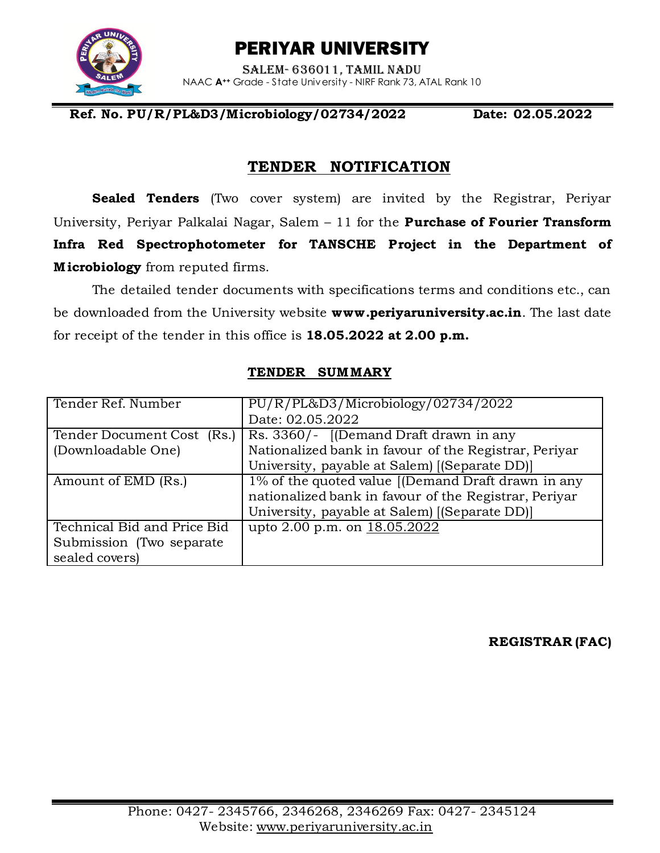PERIYAR UNIVERSITY



Salem- 636011, Tamil Nadu NAAC **A++** Grade - State University - NIRF Rank 73, ATAL Rank 10

#### **Ref. No. PU/R/PL&D3/Microbiology/02734/2022 Date: 02.05.2022**

## **TENDER NOTIFICATION**

**Sealed Tenders** (Two cover system) are invited by the Registrar, Periyar University, Periyar Palkalai Nagar, Salem – 11 for the **Purchase of Fourier Transform Infra Red Spectrophotometer for TANSCHE Project in the Department of M icrobiology** from reputed firms.

The detailed tender documents with specifications terms and conditions etc., can be downloaded from the University website **[www.periyaruniversity.ac.in](http://www.periyaruniversity.ac.in/)**. The last date for receipt of the tender in this office is **18.05.2022 at 2.00 p.m.**

| Tender Ref. Number          | PU/R/PL&D3/Microbiology/02734/2022                    |
|-----------------------------|-------------------------------------------------------|
|                             | Date: 02.05.2022                                      |
| Tender Document Cost (Rs.)  | Rs. 3360/- [(Demand Draft drawn in any                |
| (Downloadable One)          | Nationalized bank in favour of the Registrar, Periyar |
|                             | University, payable at Salem) [(Separate DD)]         |
| Amount of EMD (Rs.)         | $1\%$ of the quoted value [(Demand Draft drawn in any |
|                             | nationalized bank in favour of the Registrar, Periyar |
|                             | University, payable at Salem) [(Separate DD)]         |
| Technical Bid and Price Bid | upto 2.00 p.m. on 18.05.2022                          |
| Submission (Two separate)   |                                                       |
| sealed covers)              |                                                       |

#### **TENDER SUMMARY**

**REGISTRAR (FAC)**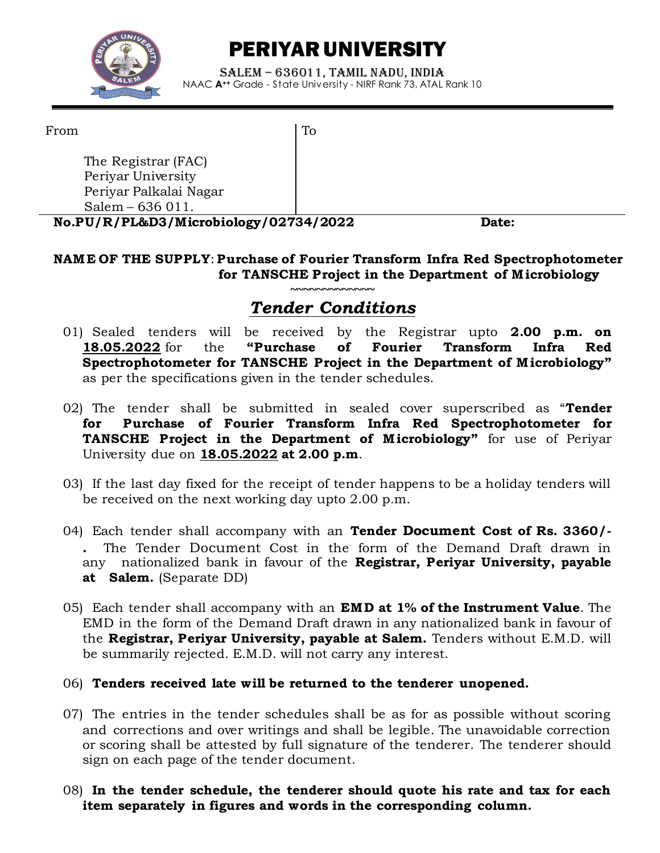

# PERIYAR UNIVERSITY

Salem – 636011, Tamil Nadu, India NAAC **A++** Grade - State University - NIRF Rank 73, ATAL Rank 10

To

From

The Registrar (FAC) Periyar University Periyar Palkalai Nagar Salem – 636 011.

**No.PU/R/PL&D3/Microbiology/02734/2022 Date:**

### **NAM E OF THE SUPPLY**: **Purchase of Fourier Transform Infra Red Spectrophotometer for TANSCHE Project in the Department of M icrobiology**

## **~~~~~~~~~~~~~** *Tender Conditions*

- 01) Sealed tenders will be received by the Registrar upto **2.00 p.m. on 18.05.2022** for the **"Purchase of Fourier Transform Infra Red Spectrophotometer for TANSCHE Project in the Department of M icrobiology"**  as per the specifications given in the tender schedules.
- 02) The tender shall be submitted in sealed cover superscribed as "**Tender for Purchase of Fourier Transform Infra Red Spectrophotometer for TANSCHE Project in the Department of Microbiology"** for use of Periyar University due on **18.05.2022 at 2.00 p.m**.
- 03) If the last day fixed for the receipt of tender happens to be a holiday tenders will be received on the next working day upto 2.00 p.m.
- 04) Each tender shall accompany with an **Tender Document Cost of Rs. 3360/- .** The Tender Document Cost in the form of the Demand Draft drawn in any nationalized bank in favour of the **Registrar, Periyar University, payable at Salem.** (Separate DD)
- 05) Each tender shall accompany with an **EMD at 1% of the Instrument Value**. The EMD in the form of the Demand Draft drawn in any nationalized bank in favour of the **Registrar, Periyar University, payable at Salem.** Tenders without E.M.D. will be summarily rejected. E.M.D. will not carry any interest.

#### 06) **Tenders received late will be returned to the tenderer unopened.**

- 07) The entries in the tender schedules shall be as for as possible without scoring and corrections and over writings and shall be legible. The unavoidable correction or scoring shall be attested by full signature of the tenderer. The tenderer should sign on each page of the tender document.
- 08) **In the tender schedule, the tenderer should quote his rate and tax for each item separately in figures and words in the corresponding column.**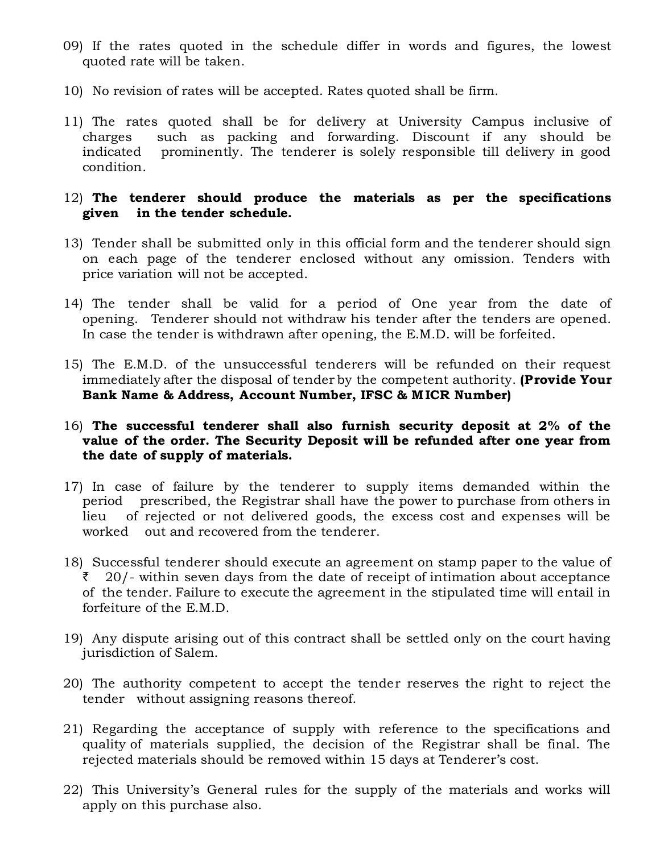- 09) If the rates quoted in the schedule differ in words and figures, the lowest quoted rate will be taken.
- 10) No revision of rates will be accepted. Rates quoted shall be firm.
- 11) The rates quoted shall be for delivery at University Campus inclusive of charges such as packing and forwarding. Discount if any should be indicated prominently. The tenderer is solely responsible till delivery in good condition.

#### 12) **The tenderer should produce the materials as per the specifications given in the tender schedule.**

- 13) Tender shall be submitted only in this official form and the tenderer should sign on each page of the tenderer enclosed without any omission. Tenders with price variation will not be accepted.
- 14) The tender shall be valid for a period of One year from the date of opening. Tenderer should not withdraw his tender after the tenders are opened. In case the tender is withdrawn after opening, the E.M.D. will be forfeited.
- 15) The E.M.D. of the unsuccessful tenderers will be refunded on their request immediately after the disposal of tender by the competent authority. **(Provide Your Bank Name & Address, Account Number, IFSC & M ICR Number)**
- 16) **The successful tenderer shall also furnish security deposit at 2% of the value of the order. The Security Deposit will be refunded after one year from the date of supply of materials.**
- 17) In case of failure by the tenderer to supply items demanded within the period prescribed, the Registrar shall have the power to purchase from others in lieu of rejected or not delivered goods, the excess cost and expenses will be worked out and recovered from the tenderer.
- 18) Successful tenderer should execute an agreement on stamp paper to the value of  $\bar{z}$  20/- within seven days from the date of receipt of intimation about acceptance of the tender. Failure to execute the agreement in the stipulated time will entail in forfeiture of the E.M.D.
- 19) Any dispute arising out of this contract shall be settled only on the court having jurisdiction of Salem.
- 20) The authority competent to accept the tender reserves the right to reject the tender without assigning reasons thereof.
- 21) Regarding the acceptance of supply with reference to the specifications and quality of materials supplied, the decision of the Registrar shall be final. The rejected materials should be removed within 15 days at Tenderer's cost.
- 22) This University's General rules for the supply of the materials and works will apply on this purchase also.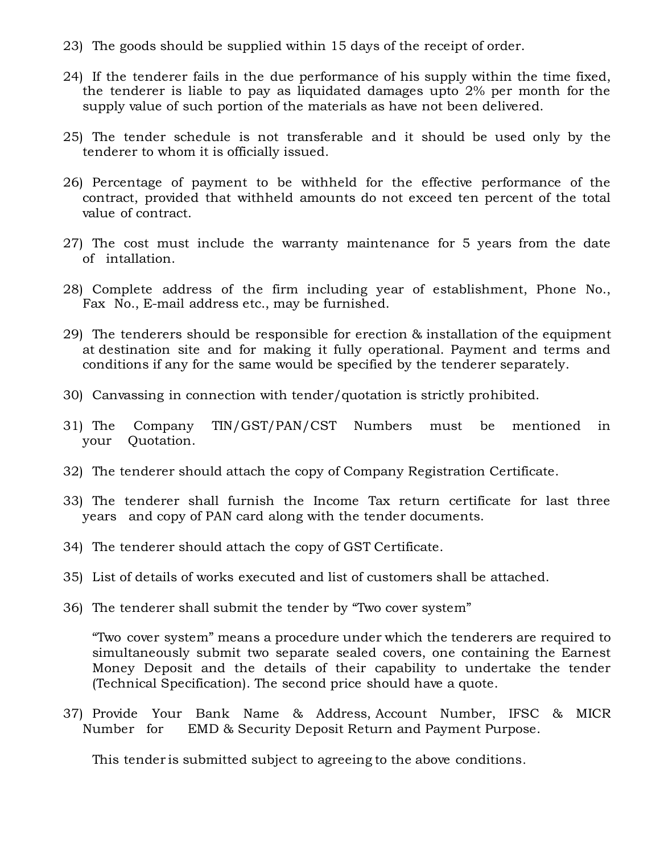23) The goods should be supplied within 15 days of the receipt of order.

- 24) If the tenderer fails in the due performance of his supply within the time fixed, the tenderer is liable to pay as liquidated damages upto 2% per month for the supply value of such portion of the materials as have not been delivered.
- 25) The tender schedule is not transferable and it should be used only by the tenderer to whom it is officially issued.
- 26) Percentage of payment to be withheld for the effective performance of the contract, provided that withheld amounts do not exceed ten percent of the total value of contract.
- 27) The cost must include the warranty maintenance for 5 years from the date of intallation.
- 28) Complete address of the firm including year of establishment, Phone No., Fax No., E-mail address etc., may be furnished.
- 29) The tenderers should be responsible for erection & installation of the equipment at destination site and for making it fully operational. Payment and terms and conditions if any for the same would be specified by the tenderer separately.
- 30) Canvassing in connection with tender/quotation is strictly prohibited.
- 31) The Company TIN/GST/PAN/CST Numbers must be mentioned in your Quotation.
- 32) The tenderer should attach the copy of Company Registration Certificate.
- 33) The tenderer shall furnish the Income Tax return certificate for last three years and copy of PAN card along with the tender documents.
- 34) The tenderer should attach the copy of GST Certificate.
- 35) List of details of works executed and list of customers shall be attached.
- 36) The tenderer shall submit the tender by "Two cover system"

"Two cover system" means a procedure under which the tenderers are required to simultaneously submit two separate sealed covers, one containing the Earnest Money Deposit and the details of their capability to undertake the tender (Technical Specification). The second price should have a quote.

37) Provide Your Bank Name & Address, Account Number, IFSC & MICR Number for EMD & Security Deposit Return and Payment Purpose.

This tender is submitted subject to agreeing to the above conditions.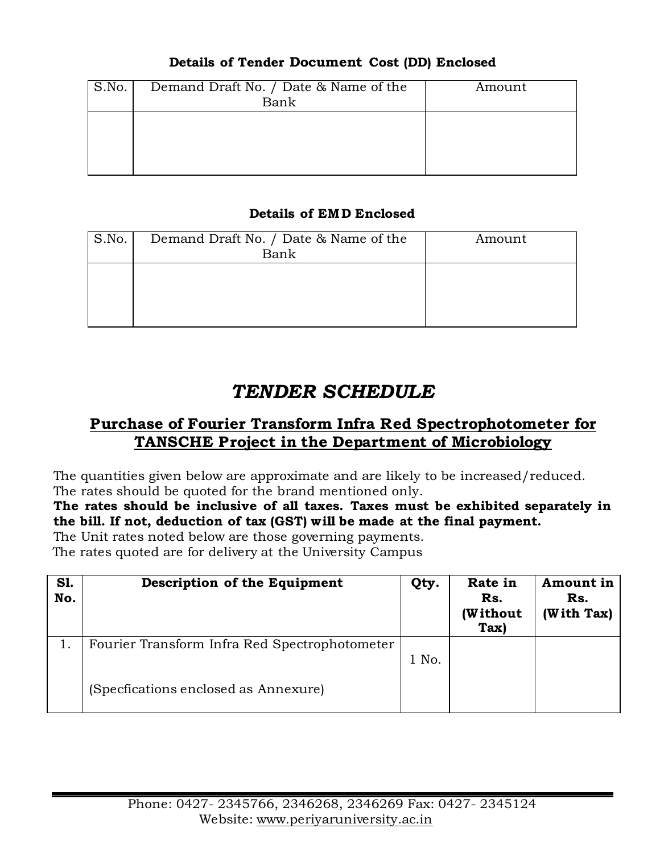### **Details of Tender Document Cost (DD) Enclosed**

| S.No. | Demand Draft No. / Date & Name of the<br>Bank | Amount |
|-------|-----------------------------------------------|--------|
|       |                                               |        |
|       |                                               |        |

### **Details of EMD Enclosed**

| S.No. | Demand Draft No. / Date & Name of the<br>Bank | Amount |
|-------|-----------------------------------------------|--------|
|       |                                               |        |

# *TENDER SCHEDULE*

# **Purchase of Fourier Transform Infra Red Spectrophotometer for TANSCHE Project in the Department of Microbiology**

The quantities given below are approximate and are likely to be increased/reduced. The rates should be quoted for the brand mentioned only.

### **The rates should be inclusive of all taxes. Taxes must be exhibited separately in the bill. If not, deduction of tax (GST) will be made at the final payment.**

The Unit rates noted below are those governing payments.

The rates quoted are for delivery at the University Campus

| <b>S1.</b><br>No. | Description of the Equipment                  | Qty.  | Rate in<br>Rs.<br>(Without<br>Tax) | Amount in<br>Rs.<br>(With Tax) |
|-------------------|-----------------------------------------------|-------|------------------------------------|--------------------------------|
|                   | Fourier Transform Infra Red Spectrophotometer | 1 No. |                                    |                                |
|                   | (Specfications enclosed as Annexure)          |       |                                    |                                |